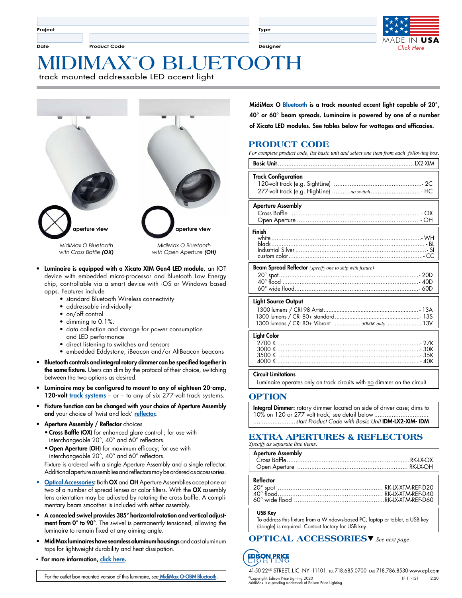**Project**

**Date Product Code Designer**

**Type**



# **™ MIDIMAX O BLUETOOTH**

track mounted addressable LED accent light



- Luminaire is equipped with a Xicato XIM Gen4 LED module, an IOT device with embedded micro-processor and Bluetooth Low Energy chip, controllable via a smart device with iOS or Windows based apps. Features include
	- standard Bluetooth Wireless connectivity
	- addressable individually
	- on/off control
	- dimming to 0.1%.
	- data collection and storage for power consumption and LED performance
	- direct listening to switches and sensors
	- embedded Eddystone, iBeacon and/or AltBeacon beacons
- Bluetooth controls and integral rotary dimmer can be specified together in the same fixture. Users can dim by the protocol of their choice, switching between the two options as desired.
- Luminaire may be configured to mount to any of eighteen 20-amp, 120-volt [track systems](http://www.epl.com/browse/?category=5) - or - to any of six 277-volt [track systems.](http://www.epl.com/browse/?category=5)
- Fixture function can be changed with your choice of Aperture Assembly and your choice of 'twist and lock' [reflector.](http://www.epl.com/products/reflectors/)
- Aperture Assembly / Reflector choices • Cross Baffle (OX) for enhanced glare control ; for use with interchangeable 20°, 40° and 60° reflectors.
	- Open Aperture (OH) for maximum efficacy; for use with interchangeable 20°, 40° and 60° reflectors.

Fixture is ordered with a single Aperture Assembly and a single reflector. Additional aperture assemblies and reflectors may be ordered as accessories.

- [Optical Accessories:](http://www.epl.com/optical-accessories) Both OX and OH Aperture Assemblies accept one or two of a number of spread lenses or color filters. With the OX assembly lens orientation may be adjusted by rotating the cross baffle. A complimentary beam smoother is included with either assembly.
- A concealed swivel provides 385° horizontal rotation and vertical adjustment from 0° to 90°. The swivel is permanently tensioned, allowing the luminaire to remain fixed at any aiming angle.
- MidiMax luminaires have seamless aluminum housings and cast aluminum tops for lightweight durability and heat dissipation.
- For more information, [click here](http://www.epl.com/products/1296/).

For the outlet box mounted version of this luminaire, see [MidiMax O-OBM Bluetooth.](https://www.epl.com/products/1024/)

MidiMax O Bluetooth is a track mounted accent light capable of 20°, 40° or 60° beam spreads. Luminaire is powered by one of a number of Xicato LED modules. See tables below for wattages and efficacies.

## **PRODUCT CODE**

*For complete product code, list basic unit and select one item from each following box.*

| <b>Track Configuration</b><br>277-volt track (e.g. HighLine)  no switch HC                            |
|-------------------------------------------------------------------------------------------------------|
| <b>Aperture Assembly</b>                                                                              |
| Finish                                                                                                |
| <b>Beam Spread Reflector</b> (specify one to ship with fixture)                                       |
| <b>Light Source Output</b><br>1300 lumens / CRI 80+ Vibrant  3000K only 13V                           |
| <b>Light Color</b>                                                                                    |
| <b>Circuit Limitations</b><br>Luminaire operates only on track circuits with no dimmer on the circuit |

**OPTION**

Integral Dimmer: rotary dimmer located on side of driver case; dims to 10% on 120 or 277 volt track; see detail below... ........................*start Product Code with Basic Unit* IDM-LX2-XIM- IDM

#### **EXTRA APERTURES & REFLECTORS** *Specify as separate line items.*

| <b>Aperture Assembly</b> |  |
|--------------------------|--|
|                          |  |
| Reflector                |  |
|                          |  |
|                          |  |
|                          |  |
|                          |  |
|                          |  |

USB Key

To address this fixture from a Windows-based PC, laptop or tablet, a USB key (dongle) is required. Contact factory for USB key.

**OPTICAL ACCESSORIES** *See next page* s

**FDIS N PRICE** 

41-50 22ND STREET, LIC NY 11101 tel 718.685.0700 fax 718.786.8530 www.epl.com ©Copyright, Edison Price Lighting 2020 TF 11-121 2:20 MidiMax is a pending trademark of Edison Price Lighting.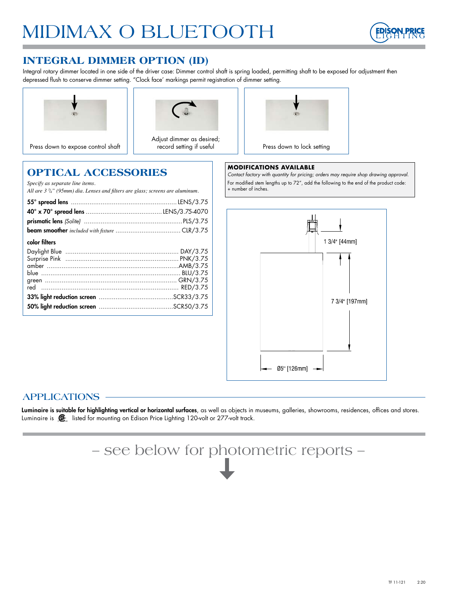

# **INTEGRAL DIMMER OPTION (ID)**

Integral rotary dimmer located in one side of the driver case: Dimmer control shaft is spring loaded, permitting shaft to be exposed for adjustment then depressed flush to conserve dimmer setting. "Clock face' markings permit registration of dimmer setting.





Adjust dimmer as desired; record setting if useful



#### **MODIFICATIONS AVAILABLE**

*Contact factory with quantity for pricing; orders may require shop drawing approval.* For modified stem lengths up to 72", add the following to the end of the product code: + number of inches.

| Specify as separate line items.<br>All are $3\frac{3}{4}$ " (95mm) dia. Lenses and filters are glass; screens are aluminum. |  |
|-----------------------------------------------------------------------------------------------------------------------------|--|
|                                                                                                                             |  |
|                                                                                                                             |  |
|                                                                                                                             |  |
|                                                                                                                             |  |
| color filters                                                                                                               |  |
|                                                                                                                             |  |
|                                                                                                                             |  |
|                                                                                                                             |  |
|                                                                                                                             |  |
|                                                                                                                             |  |
|                                                                                                                             |  |
|                                                                                                                             |  |
|                                                                                                                             |  |
|                                                                                                                             |  |

**OPTICAL ACCESSORIES**



# **APPLICATIONS**

Luminaire is suitable for highlighting vertical or horizontal surfaces, as well as objects in museums, galleries, showrooms, residences, offices and stores. Luminaire is **SE** listed for mounting on Edison Price Lighting 120-volt or 277-volt track.

– see below for photometric reports –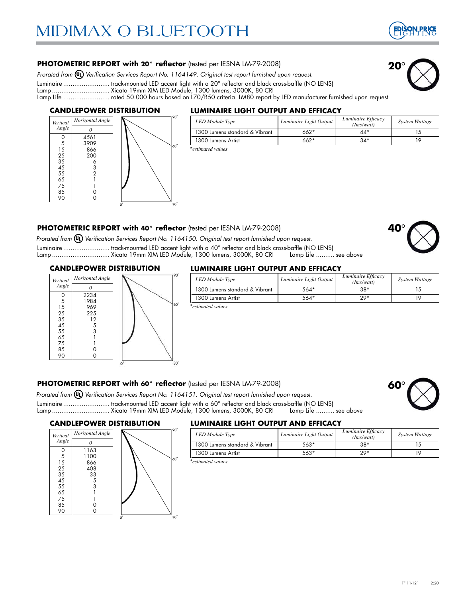

**20**°

#### **PHOTOMETRIC REPORT with 20° reflector** (tested per IESNA LM-79-2008)

Prorated from  $\textcircled{u}$ ) Verification Services Report No. 1164149. Original test report furnished upon request.

Luminaire ......................... track-mounted LED accent light with a 20° reflector and black cross-baffle (NO LENS)

Lamp ............................... Xicato 19mm XIM LED Module, 1300 lumens, 3000K, 80 CRI

Lamp Life ......................... rated 50.000 hours based on L70/B50 criteria. LM80 report by LED manufacturer furnished upon request

#### **CANDLEPOWER DISTRIBUTION**



#### **LUMINAIRE LIGHT OUTPUT AND EFFICACY**

| LED Module Type                | Luminaire Light Output | Luminaire Efficacy<br>(Ims/watt) | System Wattage |
|--------------------------------|------------------------|----------------------------------|----------------|
| 1300 Lumens standard & Vibrant | $662*$                 | $44*$                            |                |
| 1300 Lumens Artist             | $662*$                 | $34*$                            |                |
| *estimated values*             |                        |                                  |                |

#### **PHOTOMETRIC REPORT with 40° reflector** (tested per IESNA LM-79-2008)

*Prorated from Verification Services Report No. 1164150. Original test report furnished upon request.*

Luminaire ......................... track-mounted LED accent light with a 40° reflector and black cross-baffle (NO LENS) Lamp ............................... Xicato 19mm XIM LED Module, 1300 lumens, 3000K, 80 CRI Lamp Life .......... see above

#### **CANDLEPOWER DISTRIBUTION**



#### **LUMINAIRE LIGHT OUTPUT AND EFFICACY**

| <b>LED</b> Module Type         | Luminaire Light Output | Luminaire Efficacy<br>(Ims/watt) | System Wattage |
|--------------------------------|------------------------|----------------------------------|----------------|
| 1300 Lumens standard & Vibrant | $564*$                 | $38*$                            |                |
| 1300 Lumens Artist             | $564*$                 | $20*$                            | 10             |
| *estimated values              |                        |                                  |                |

#### **PHOTOMETRIC REPORT with 60° reflector** (tested per IESNA LM-79-2008)

*Prorated from Verification Services Report No. 1164151. Original test report furnished upon request.*

Luminaire ........................... track-mounted LED accent light with a 60° reflector and black cross-baffle (NO LENS)<br>Lamp .................................. Xicato 19mm XIM LED Module, 1300 lumens, 3000K, 80 CRI Lamp Lamp ................................ Xicato 19mm XIM LED Module, 1300 lumens, 3000K, 80 CRI

#### **CANDLEPOWER DISTRIBUTION**



#### **LUMINAIRE LIGHT OUTPUT AND EFFICACY**

| Horizontal Angle |  |             | <b>LED</b> Module Type         | Luminaire Light Output | Luminaire Efficacy<br>(Ims/watt) | System Wattage |
|------------------|--|-------------|--------------------------------|------------------------|----------------------------------|----------------|
|                  |  |             | 1300 Lumens standard & Vibrant | 563*                   | $38*$                            |                |
| 163<br>100       |  |             | 1300 Lumens Artist             | 563*                   | $20*$                            |                |
| $  -$            |  | $160^\circ$ | .                              |                        |                                  |                |

\**estimated value*.



**60**°